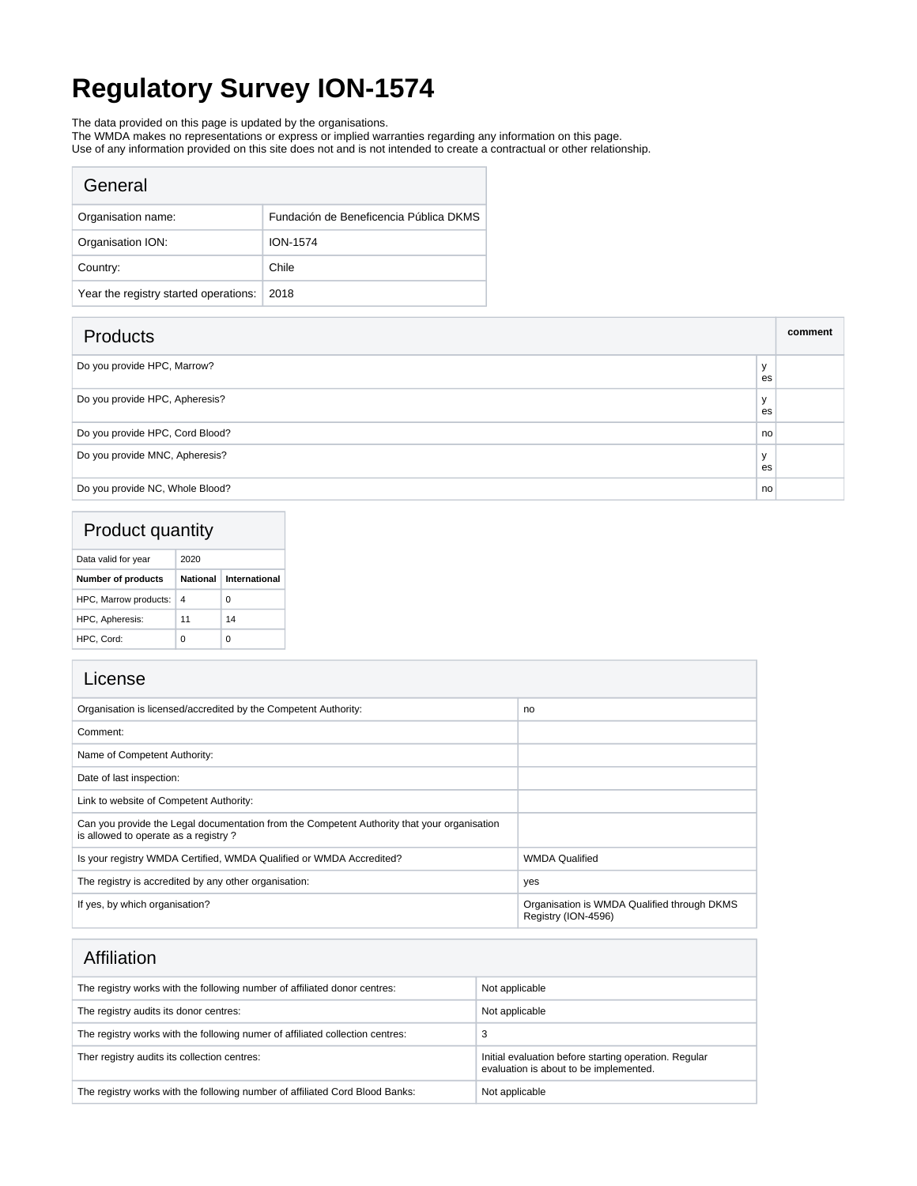# **Regulatory Survey ION-1574**

The data provided on this page is updated by the organisations.

The WMDA makes no representations or express or implied warranties regarding any information on this page.

Use of any information provided on this site does not and is not intended to create a contractual or other relationship.

| General                               |                                        |
|---------------------------------------|----------------------------------------|
| Organisation name:                    | Fundación de Beneficencia Pública DKMS |
| Organisation ION:                     | <b>ION-1574</b>                        |
| Country:                              | Chile                                  |
| Year the registry started operations: | 2018                                   |

| <b>Products</b>                 |                    | comment |
|---------------------------------|--------------------|---------|
| Do you provide HPC, Marrow?     | $\mathbf{v}$<br>es |         |
| Do you provide HPC, Apheresis?  | $\mathbf{v}$<br>es |         |
| Do you provide HPC, Cord Blood? | no                 |         |
| Do you provide MNC, Apheresis?  | $\mathbf{v}$<br>es |         |
| Do you provide NC, Whole Blood? | no                 |         |

### Product quantity

| Data valid for year       | 2020            |               |  |
|---------------------------|-----------------|---------------|--|
| <b>Number of products</b> | <b>National</b> | International |  |
| HPC, Marrow products:     | 4               | 0             |  |
| HPC, Apheresis:           | 11              | 14            |  |
| HPC, Cord:                | Ω               |               |  |

| License |
|---------|
|         |

 $\overline{\phantom{a}}$ 

| LICENSE                                                                                                                             |                                                                    |
|-------------------------------------------------------------------------------------------------------------------------------------|--------------------------------------------------------------------|
| Organisation is licensed/accredited by the Competent Authority:                                                                     | no                                                                 |
| Comment:                                                                                                                            |                                                                    |
| Name of Competent Authority:                                                                                                        |                                                                    |
| Date of last inspection:                                                                                                            |                                                                    |
| Link to website of Competent Authority:                                                                                             |                                                                    |
| Can you provide the Legal documentation from the Competent Authority that your organisation<br>is allowed to operate as a registry? |                                                                    |
| Is your registry WMDA Certified, WMDA Qualified or WMDA Accredited?                                                                 | <b>WMDA Qualified</b>                                              |
| The registry is accredited by any other organisation:                                                                               | yes                                                                |
| If yes, by which organisation?                                                                                                      | Organisation is WMDA Qualified through DKMS<br>Registry (ION-4596) |

| Affiliation |
|-------------|
|             |

| , ,,,,,,,,,,,,,                                                               |                                                                                                 |
|-------------------------------------------------------------------------------|-------------------------------------------------------------------------------------------------|
| The registry works with the following number of affiliated donor centres:     | Not applicable                                                                                  |
| The registry audits its donor centres:                                        | Not applicable                                                                                  |
| The registry works with the following numer of affiliated collection centres: | Э                                                                                               |
| Ther registry audits its collection centres:                                  | Initial evaluation before starting operation. Regular<br>evaluation is about to be implemented. |
| The registry works with the following number of affiliated Cord Blood Banks:  | Not applicable                                                                                  |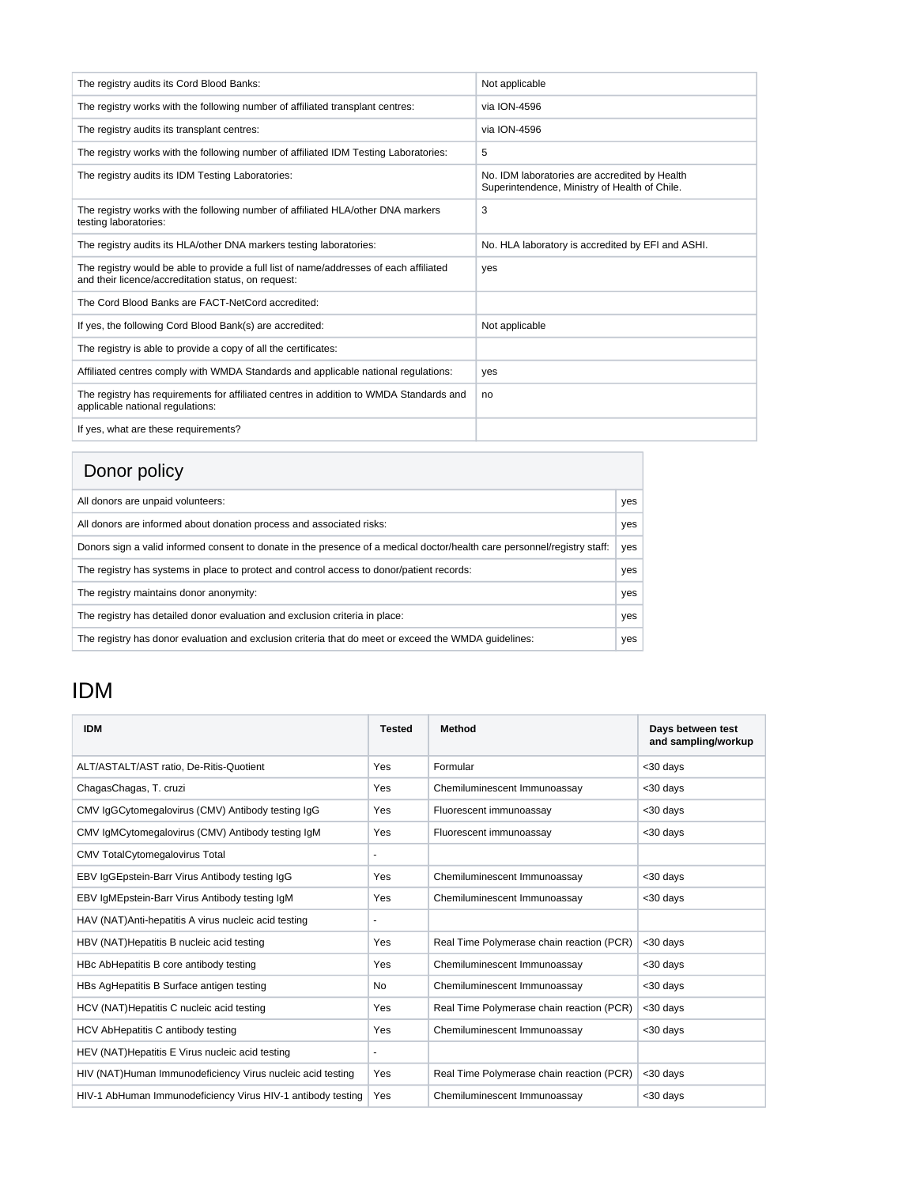| The registry audits its Cord Blood Banks:                                                                                                     | Not applicable                                                                                 |
|-----------------------------------------------------------------------------------------------------------------------------------------------|------------------------------------------------------------------------------------------------|
| The registry works with the following number of affiliated transplant centres:                                                                | via ION-4596                                                                                   |
| The registry audits its transplant centres:                                                                                                   | via ION-4596                                                                                   |
| The registry works with the following number of affiliated IDM Testing Laboratories:                                                          | 5                                                                                              |
| The registry audits its IDM Testing Laboratories:                                                                                             | No. IDM laboratories are accredited by Health<br>Superintendence, Ministry of Health of Chile. |
| The registry works with the following number of affiliated HLA/other DNA markers<br>testing laboratories:                                     | 3                                                                                              |
| The registry audits its HLA/other DNA markers testing laboratories:                                                                           | No. HLA laboratory is accredited by EFI and ASHI.                                              |
| The registry would be able to provide a full list of name/addresses of each affiliated<br>and their licence/accreditation status, on request: | yes                                                                                            |
| The Cord Blood Banks are FACT-NetCord accredited:                                                                                             |                                                                                                |
| If yes, the following Cord Blood Bank(s) are accredited:                                                                                      | Not applicable                                                                                 |
| The registry is able to provide a copy of all the certificates:                                                                               |                                                                                                |
| Affiliated centres comply with WMDA Standards and applicable national regulations:                                                            | yes                                                                                            |
| The registry has requirements for affiliated centres in addition to WMDA Standards and<br>applicable national regulations:                    | no                                                                                             |
| If yes, what are these requirements?                                                                                                          |                                                                                                |

#### Donor policy

| PUNU PUNU Y                                                                                                              |     |
|--------------------------------------------------------------------------------------------------------------------------|-----|
| All donors are unpaid volunteers:                                                                                        | yes |
| All donors are informed about donation process and associated risks:                                                     | yes |
| Donors sign a valid informed consent to donate in the presence of a medical doctor/health care personnel/registry staff: | yes |
| The registry has systems in place to protect and control access to donor/patient records:                                | yes |
| The registry maintains donor anonymity:                                                                                  | yes |
| The registry has detailed donor evaluation and exclusion criteria in place:                                              | yes |
| The registry has donor evaluation and exclusion criteria that do meet or exceed the WMDA quidelines:                     | yes |

## IDM

| <b>IDM</b>                                                  | <b>Tested</b>  | <b>Method</b>                             | Days between test<br>and sampling/workup |
|-------------------------------------------------------------|----------------|-------------------------------------------|------------------------------------------|
| ALT/ASTALT/AST ratio, De-Ritis-Quotient                     | Yes            | Formular                                  | <30 days                                 |
| ChagasChagas, T. cruzi                                      | Yes            | Chemiluminescent Immunoassay              | <30 days                                 |
| CMV IgGCytomegalovirus (CMV) Antibody testing IgG           | Yes            | Fluorescent immunoassay                   | <30 days                                 |
| CMV IgMCytomegalovirus (CMV) Antibody testing IgM           | Yes            | Fluorescent immunoassay                   | <30 days                                 |
| <b>CMV TotalCytomegalovirus Total</b>                       |                |                                           |                                          |
| EBV IgGEpstein-Barr Virus Antibody testing IgG              | Yes            | Chemiluminescent Immunoassay              | <30 days                                 |
| EBV IgMEpstein-Barr Virus Antibody testing IgM              | Yes            | Chemiluminescent Immunoassay              | <30 days                                 |
| HAV (NAT) Anti-hepatitis A virus nucleic acid testing       |                |                                           |                                          |
| HBV (NAT) Hepatitis B nucleic acid testing                  | Yes            | Real Time Polymerase chain reaction (PCR) | <30 days                                 |
| HBc AbHepatitis B core antibody testing                     | Yes            | Chemiluminescent Immunoassay              | <30 days                                 |
| HBs AgHepatitis B Surface antigen testing                   | No             | Chemiluminescent Immunoassay              | <30 days                                 |
| HCV (NAT) Hepatitis C nucleic acid testing                  | Yes            | Real Time Polymerase chain reaction (PCR) | <30 days                                 |
| HCV AbHepatitis C antibody testing                          | Yes            | Chemiluminescent Immunoassay              | <30 days                                 |
| HEV (NAT) Hepatitis E Virus nucleic acid testing            | $\blacksquare$ |                                           |                                          |
| HIV (NAT)Human Immunodeficiency Virus nucleic acid testing  | Yes            | Real Time Polymerase chain reaction (PCR) | <30 days                                 |
| HIV-1 AbHuman Immunodeficiency Virus HIV-1 antibody testing | Yes            | Chemiluminescent Immunoassay              | <30 days                                 |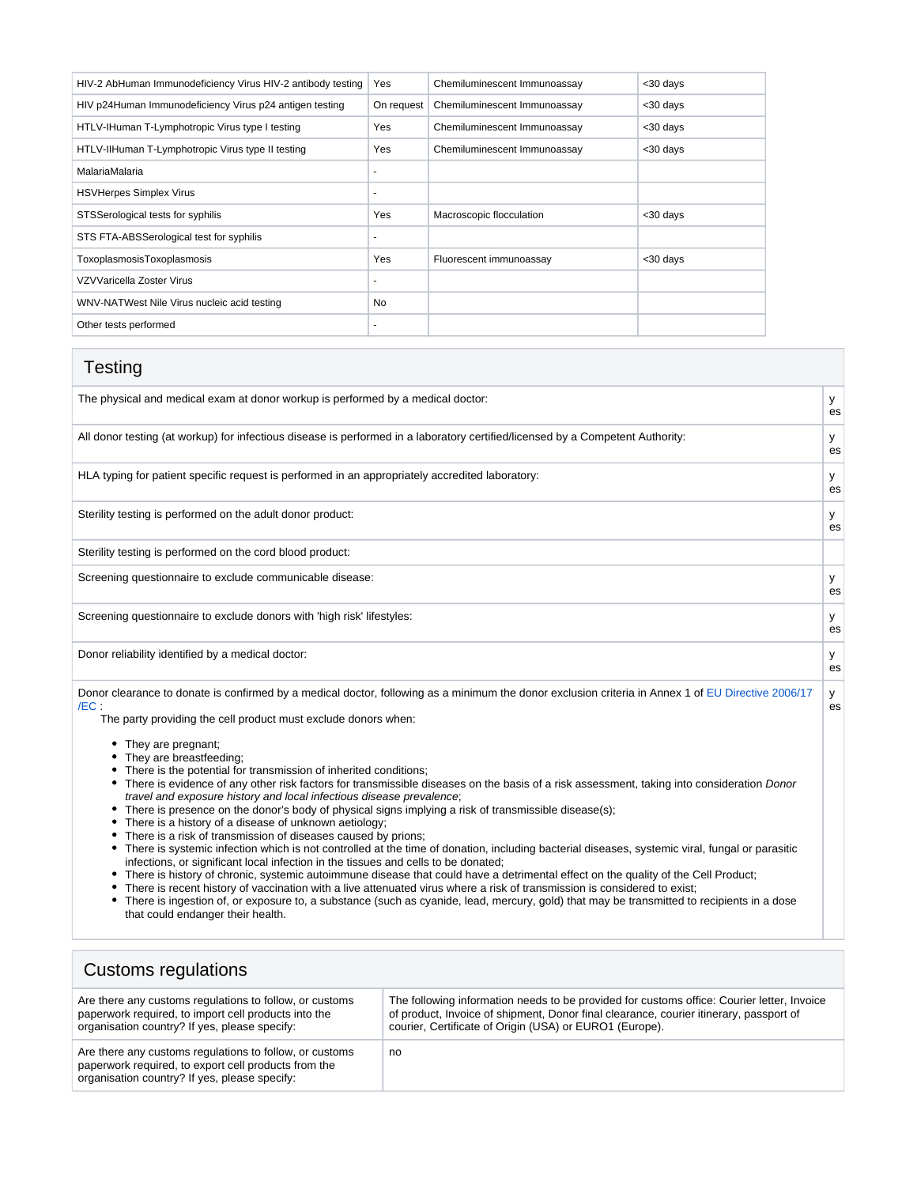| HIV-2 AbHuman Immunodeficiency Virus HIV-2 antibody testing | Yes            | Chemiluminescent Immunoassay | <30 days |
|-------------------------------------------------------------|----------------|------------------------------|----------|
| HIV p24Human Immunodeficiency Virus p24 antigen testing     | On request     | Chemiluminescent Immunoassay | <30 days |
| HTLV-IHuman T-Lymphotropic Virus type I testing             | Yes            | Chemiluminescent Immunoassay | <30 days |
| HTLV-IIHuman T-Lymphotropic Virus type II testing           | Yes            | Chemiluminescent Immunoassay | <30 days |
| MalariaMalaria                                              |                |                              |          |
| <b>HSVHerpes Simplex Virus</b>                              | $\overline{a}$ |                              |          |
| STSSerological tests for syphilis                           | Yes            | Macroscopic flocculation     | <30 days |
| STS FTA-ABSSerological test for syphilis                    | ٠              |                              |          |
| ToxoplasmosisToxoplasmosis                                  | Yes            | Fluorescent immunoassay      | <30 days |
| VZVVaricella Zoster Virus                                   |                |                              |          |
| WNV-NATWest Nile Virus nucleic acid testing                 | No             |                              |          |
| Other tests performed                                       | ٠              |                              |          |

| Testing                                                                                                                                                                                                                                                                                                                                                                                                                                                                                                                                                                                                                                                                                                                                                                                                                                                                                                                                                                                                                                                                                                                                                                                                                                                                                                                                                                                                                                                                                                         |         |
|-----------------------------------------------------------------------------------------------------------------------------------------------------------------------------------------------------------------------------------------------------------------------------------------------------------------------------------------------------------------------------------------------------------------------------------------------------------------------------------------------------------------------------------------------------------------------------------------------------------------------------------------------------------------------------------------------------------------------------------------------------------------------------------------------------------------------------------------------------------------------------------------------------------------------------------------------------------------------------------------------------------------------------------------------------------------------------------------------------------------------------------------------------------------------------------------------------------------------------------------------------------------------------------------------------------------------------------------------------------------------------------------------------------------------------------------------------------------------------------------------------------------|---------|
| The physical and medical exam at donor workup is performed by a medical doctor:                                                                                                                                                                                                                                                                                                                                                                                                                                                                                                                                                                                                                                                                                                                                                                                                                                                                                                                                                                                                                                                                                                                                                                                                                                                                                                                                                                                                                                 | у<br>es |
| All donor testing (at workup) for infectious disease is performed in a laboratory certified/licensed by a Competent Authority:                                                                                                                                                                                                                                                                                                                                                                                                                                                                                                                                                                                                                                                                                                                                                                                                                                                                                                                                                                                                                                                                                                                                                                                                                                                                                                                                                                                  | У<br>es |
| HLA typing for patient specific request is performed in an appropriately accredited laboratory:                                                                                                                                                                                                                                                                                                                                                                                                                                                                                                                                                                                                                                                                                                                                                                                                                                                                                                                                                                                                                                                                                                                                                                                                                                                                                                                                                                                                                 | У<br>es |
| Sterility testing is performed on the adult donor product:                                                                                                                                                                                                                                                                                                                                                                                                                                                                                                                                                                                                                                                                                                                                                                                                                                                                                                                                                                                                                                                                                                                                                                                                                                                                                                                                                                                                                                                      | У<br>es |
| Sterility testing is performed on the cord blood product:                                                                                                                                                                                                                                                                                                                                                                                                                                                                                                                                                                                                                                                                                                                                                                                                                                                                                                                                                                                                                                                                                                                                                                                                                                                                                                                                                                                                                                                       |         |
| Screening questionnaire to exclude communicable disease:                                                                                                                                                                                                                                                                                                                                                                                                                                                                                                                                                                                                                                                                                                                                                                                                                                                                                                                                                                                                                                                                                                                                                                                                                                                                                                                                                                                                                                                        | y<br>es |
| Screening questionnaire to exclude donors with 'high risk' lifestyles:                                                                                                                                                                                                                                                                                                                                                                                                                                                                                                                                                                                                                                                                                                                                                                                                                                                                                                                                                                                                                                                                                                                                                                                                                                                                                                                                                                                                                                          | У<br>es |
| Donor reliability identified by a medical doctor:                                                                                                                                                                                                                                                                                                                                                                                                                                                                                                                                                                                                                                                                                                                                                                                                                                                                                                                                                                                                                                                                                                                                                                                                                                                                                                                                                                                                                                                               | У<br>es |
| Donor clearance to donate is confirmed by a medical doctor, following as a minimum the donor exclusion criteria in Annex 1 of EU Directive 2006/17<br>/EC:<br>The party providing the cell product must exclude donors when:<br>• They are pregnant;<br>• They are breastfeeding;<br>• There is the potential for transmission of inherited conditions;<br>• There is evidence of any other risk factors for transmissible diseases on the basis of a risk assessment, taking into consideration Donor<br>travel and exposure history and local infectious disease prevalence;<br>• There is presence on the donor's body of physical signs implying a risk of transmissible disease(s);<br>There is a history of a disease of unknown aetiology;<br>There is a risk of transmission of diseases caused by prions;<br>• There is systemic infection which is not controlled at the time of donation, including bacterial diseases, systemic viral, fungal or parasitic<br>infections, or significant local infection in the tissues and cells to be donated;<br>There is history of chronic, systemic autoimmune disease that could have a detrimental effect on the quality of the Cell Product;<br>There is recent history of vaccination with a live attenuated virus where a risk of transmission is considered to exist;<br>There is ingestion of, or exposure to, a substance (such as cyanide, lead, mercury, gold) that may be transmitted to recipients in a dose<br>that could endanger their health. | У<br>es |

### Customs regulations

| Are there any customs regulations to follow, or customs                                                                                                          | The following information needs to be provided for customs office: Courier letter, Invoice |
|------------------------------------------------------------------------------------------------------------------------------------------------------------------|--------------------------------------------------------------------------------------------|
| paperwork required, to import cell products into the                                                                                                             | of product, Invoice of shipment, Donor final clearance, courier itinerary, passport of     |
| organisation country? If yes, please specify:                                                                                                                    | courier, Certificate of Origin (USA) or EURO1 (Europe).                                    |
| Are there any customs regulations to follow, or customs<br>paperwork required, to export cell products from the<br>organisation country? If yes, please specify: | no                                                                                         |